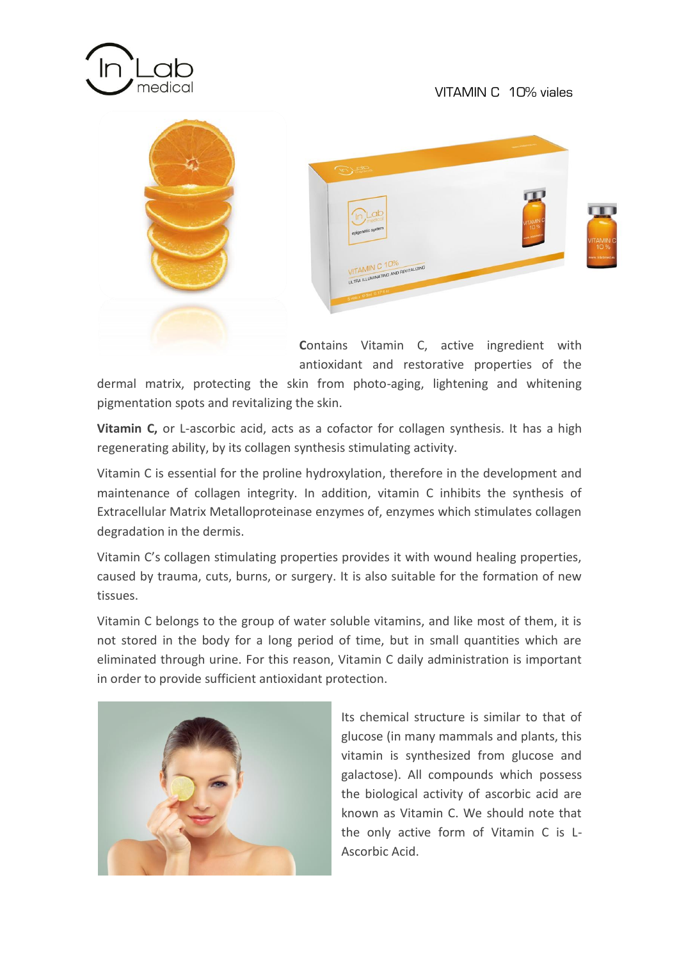





**C**ontains Vitamin C, active ingredient with antioxidant and restorative properties of the

dermal matrix, protecting the skin from photo-aging, lightening and whitening pigmentation spots and revitalizing the skin.

**Vitamin C,** or L-ascorbic acid, acts as a cofactor for collagen synthesis. It has a high regenerating ability, by its collagen synthesis stimulating activity.

Vitamin C is essential for the proline hydroxylation, therefore in the development and maintenance of collagen integrity. In addition, vitamin C inhibits the synthesis of Extracellular Matrix Metalloproteinase enzymes of, enzymes which stimulates collagen degradation in the dermis.

Vitamin C's collagen stimulating properties provides it with wound healing properties, caused by trauma, cuts, burns, or surgery. It is also suitable for the formation of new tissues.

Vitamin C belongs to the group of water soluble vitamins, and like most of them, it is not stored in the body for a long period of time, but in small quantities which are eliminated through urine. For this reason, Vitamin C daily administration is important in order to provide sufficient antioxidant protection.



Its chemical structure is similar to that of glucose (in many mammals and plants, this vitamin is synthesized from glucose and galactose). All compounds which possess the biological activity of ascorbic acid are known as Vitamin C. We should note that the only active form of Vitamin C is L-Ascorbic Acid.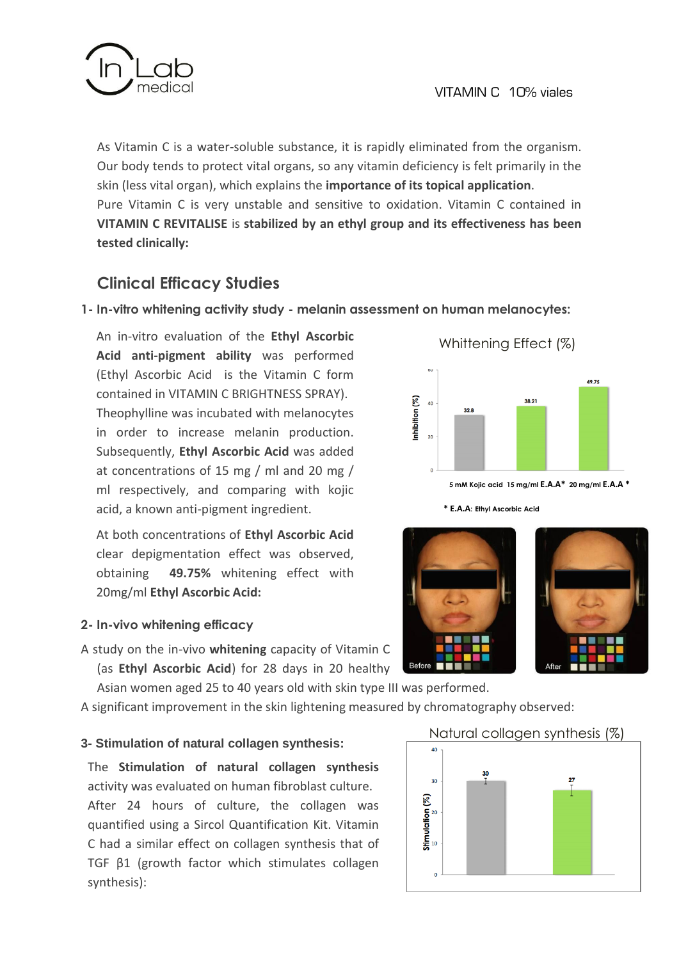

As Vitamin C is a water-soluble substance, it is rapidly eliminated from the organism. Our body tends to protect vital organs, so any vitamin deficiency is felt primarily in the skin (less vital organ), which explains the **importance of its topical application**. Pure Vitamin C is very unstable and sensitive to oxidation. Vitamin C contained in **VITAMIN C REVITALISE** is **stabilized by an ethyl group and its effectiveness has been tested clinically:**

# **Clinical Efficacy Studies**

## **1- In-vitro whitening activity study - melanin assessment on human melanocytes:**

An in-vitro evaluation of the **Ethyl Ascorbic Acid anti-pigment ability** was performed (Ethyl Ascorbic Acid is the Vitamin C form contained in VITAMIN C BRIGHTNESS SPRAY). Theophylline was incubated with melanocytes in order to increase melanin production. Subsequently, **Ethyl Ascorbic Acid** was added at concentrations of 15 mg / ml and 20 mg / ml respectively, and comparing with kojic acid, a known anti-pigment ingredient.

At both concentrations of **Ethyl Ascorbic Acid** clear depigmentation effect was observed, obtaining **49.75%** whitening effect with 20mg/ml **Ethyl Ascorbic Acid:**

## **2- In-vivo whitening efficacy**

A study on the in-vivo **whitening** capacity of Vitamin C (as **Ethyl Ascorbic Acid**) for 28 days in 20 healthy

Asian women aged 25 to 40 years old with skin type III was performed.

A significant improvement in the skin lightening measured by chromatography observed:

## **3- Stimulation of natural collagen synthesis:**

The **Stimulation of natural collagen synthesis** activity was evaluated on human fibroblast culture. After 24 hours of culture, the collagen was quantified using a Sircol Quantification Kit. Vitamin C had a similar effect on collagen synthesis that of TGF β1 (growth factor which stimulates collagen synthesis):



Whittening Effect (%)

 **5 mM Kojic acid 15 mg/ml E.A.A\* 20 mg/ml E.A.A \***

**\* E.A.A: Ethyl Ascorbic Acid** 





## Natural collagen synthesis (%)

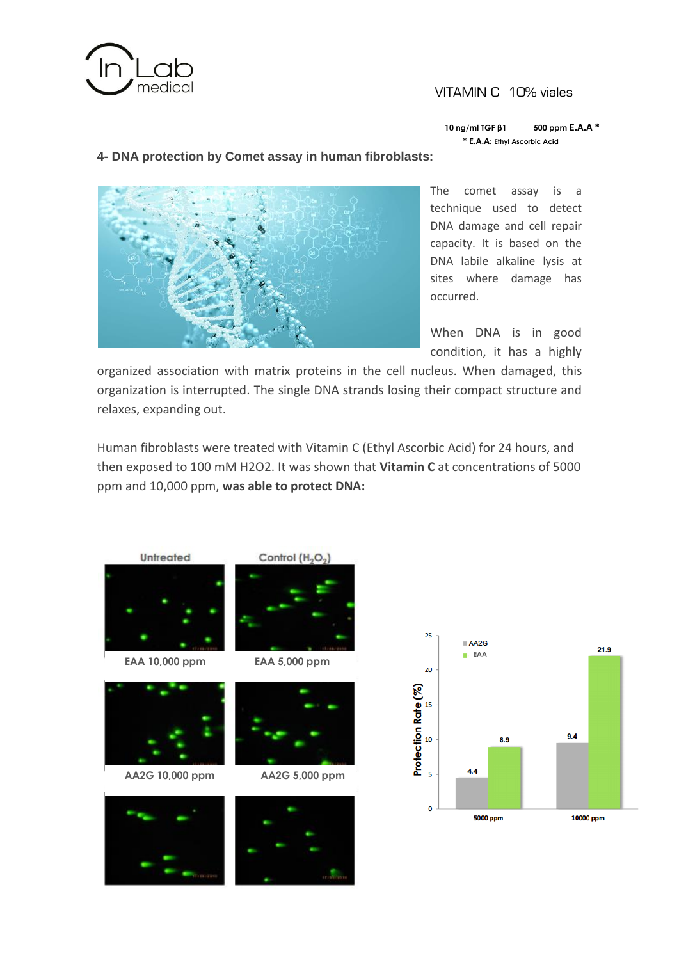

#### VITAMIN C 10% viales

 **10 ng/ml TGF β1 500 ppm E.A.A \* \* E.A.A: Ethyl Ascorbic Acid** 

#### **4- DNA protection by Comet assay in human fibroblasts:**



The comet assay is a technique used to detect DNA damage and cell repair capacity. It is based on the DNA labile alkaline lysis at sites where damage has occurred.

When DNA is in good condition, it has a highly

organized association with matrix proteins in the cell nucleus. When damaged, this organization is interrupted. The single DNA strands losing their compact structure and relaxes, expanding out.

Human fibroblasts were treated with Vitamin C (Ethyl Ascorbic Acid) for 24 hours, and then exposed to 100 mM H2O2. It was shown that **Vitamin C** at concentrations of 5000 ppm and 10,000 ppm, **was able to protect DNA:**



 **EAA 10,000 ppm EAA 5,000 ppm**



 **AA2G 10,000 ppm AA2G 5,000 ppm**









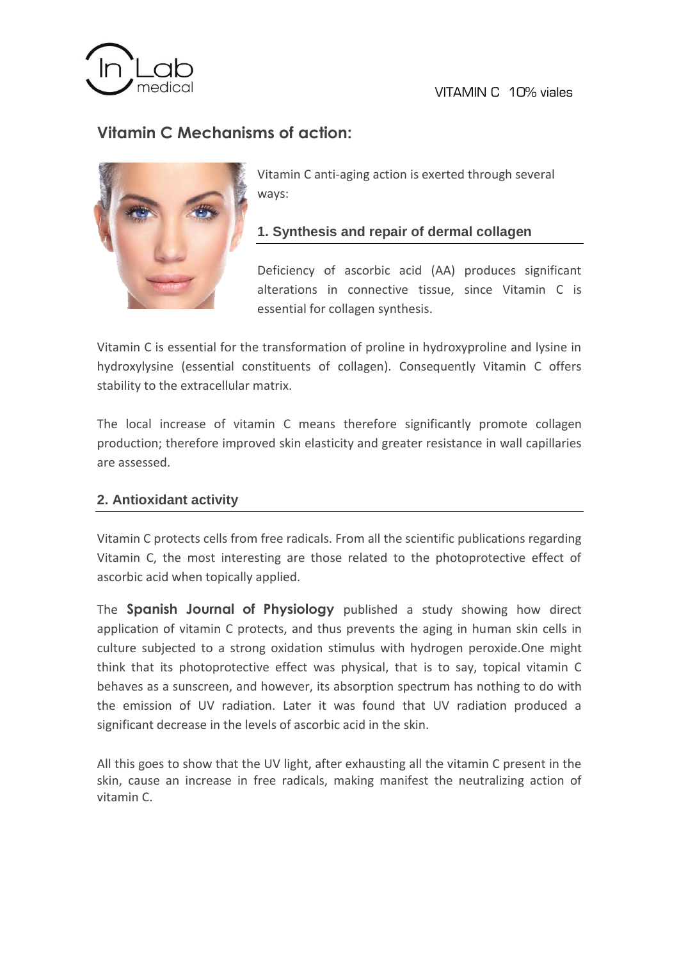

VITAMIN C 10% viales

# **Vitamin C Mechanisms of action:**



Vitamin C anti-aging action is exerted through several ways:

# **1. Synthesis and repair of dermal collagen**

Deficiency of ascorbic acid (AA) produces significant alterations in connective tissue, since Vitamin C is essential for collagen synthesis.

Vitamin C is essential for the transformation of proline in hydroxyproline and lysine in hydroxylysine (essential constituents of collagen). Consequently Vitamin C offers stability to the extracellular matrix.

The local increase of vitamin C means therefore significantly promote collagen production; therefore improved skin elasticity and greater resistance in wall capillaries are assessed.

## **2. Antioxidant activity**

Vitamin C protects cells from free radicals. From all the scientific publications regarding Vitamin C, the most interesting are those related to the photoprotective effect of ascorbic acid when topically applied.

The **Spanish Journal of Physiology** published a study showing how direct application of vitamin C protects, and thus prevents the aging in human skin cells in culture subjected to a strong oxidation stimulus with hydrogen peroxide.One might think that its photoprotective effect was physical, that is to say, topical vitamin C behaves as a sunscreen, and however, its absorption spectrum has nothing to do with the emission of UV radiation. Later it was found that UV radiation produced a significant decrease in the levels of ascorbic acid in the skin.

All this goes to show that the UV light, after exhausting all the vitamin C present in the skin, cause an increase in free radicals, making manifest the neutralizing action of vitamin C.